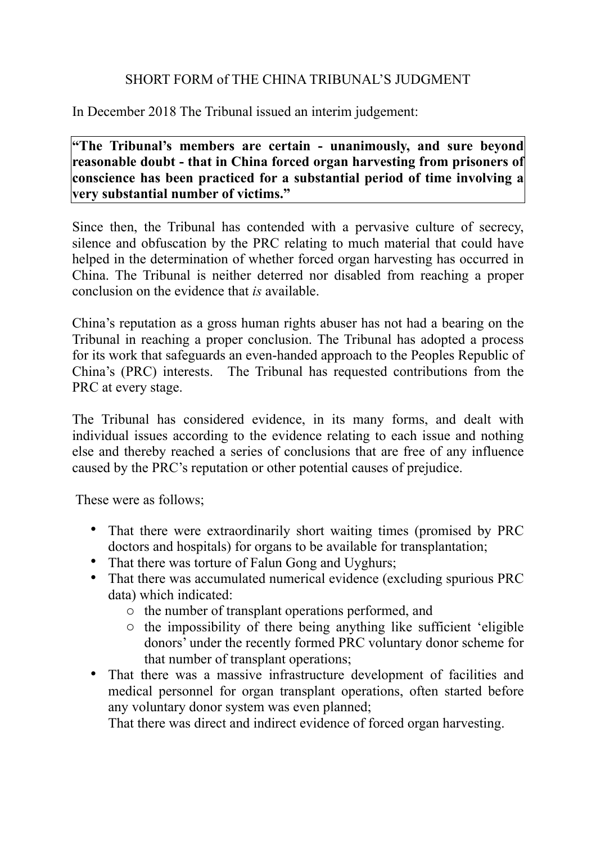## SHORT FORM of THE CHINA TRIBUNAL'S JUDGMENT

In December 2018 The Tribunal issued an interim judgement:

**"The Tribunal's members are certain - unanimously, and sure beyond reasonable doubt - that in China forced organ harvesting from prisoners of conscience has been practiced for a substantial period of time involving a very substantial number of victims."** 

Since then, the Tribunal has contended with a pervasive culture of secrecy, silence and obfuscation by the PRC relating to much material that could have helped in the determination of whether forced organ harvesting has occurred in China. The Tribunal is neither deterred nor disabled from reaching a proper conclusion on the evidence that *is* available.

China's reputation as a gross human rights abuser has not had a bearing on the Tribunal in reaching a proper conclusion. The Tribunal has adopted a process for its work that safeguards an even-handed approach to the Peoples Republic of China's (PRC) interests. The Tribunal has requested contributions from the PRC at every stage.

The Tribunal has considered evidence, in its many forms, and dealt with individual issues according to the evidence relating to each issue and nothing else and thereby reached a series of conclusions that are free of any influence caused by the PRC's reputation or other potential causes of prejudice.

These were as follows;

- That there were extraordinarily short waiting times (promised by PRC doctors and hospitals) for organs to be available for transplantation;
- That there was torture of Falun Gong and Uyghurs;
- That there was accumulated numerical evidence (excluding spurious PRC data) which indicated:
	- o the number of transplant operations performed, and
	- o the impossibility of there being anything like sufficient 'eligible donors' under the recently formed PRC voluntary donor scheme for that number of transplant operations;
- That there was a massive infrastructure development of facilities and medical personnel for organ transplant operations, often started before any voluntary donor system was even planned;

That there was direct and indirect evidence of forced organ harvesting.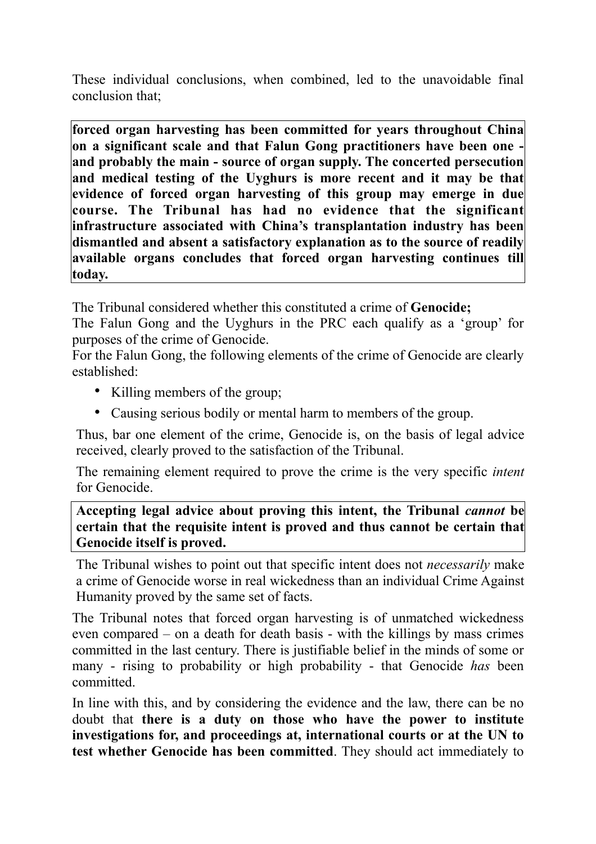These individual conclusions, when combined, led to the unavoidable final conclusion that;

**forced organ harvesting has been committed for years throughout China on a significant scale and that Falun Gong practitioners have been one and probably the main - source of organ supply. The concerted persecution and medical testing of the Uyghurs is more recent and it may be that evidence of forced organ harvesting of this group may emerge in due course. The Tribunal has had no evidence that the significant infrastructure associated with China's transplantation industry has been dismantled and absent a satisfactory explanation as to the source of readily available organs concludes that forced organ harvesting continues till today.**

The Tribunal considered whether this constituted a crime of **Genocide;** 

The Falun Gong and the Uyghurs in the PRC each qualify as a 'group' for purposes of the crime of Genocide.

For the Falun Gong, the following elements of the crime of Genocide are clearly established:

- Killing members of the group;
- Causing serious bodily or mental harm to members of the group.

Thus, bar one element of the crime, Genocide is, on the basis of legal advice received, clearly proved to the satisfaction of the Tribunal.

The remaining element required to prove the crime is the very specific *intent*  for Genocide.

**Accepting legal advice about proving this intent, the Tribunal** *cannot* **be certain that the requisite intent is proved and thus cannot be certain that Genocide itself is proved.**

The Tribunal wishes to point out that specific intent does not *necessarily* make a crime of Genocide worse in real wickedness than an individual Crime Against Humanity proved by the same set of facts.

The Tribunal notes that forced organ harvesting is of unmatched wickedness even compared – on a death for death basis - with the killings by mass crimes committed in the last century. There is justifiable belief in the minds of some or many - rising to probability or high probability - that Genocide *has* been committed.

In line with this, and by considering the evidence and the law, there can be no doubt that **there is a duty on those who have the power to institute investigations for, and proceedings at, international courts or at the UN to test whether Genocide has been committed**. They should act immediately to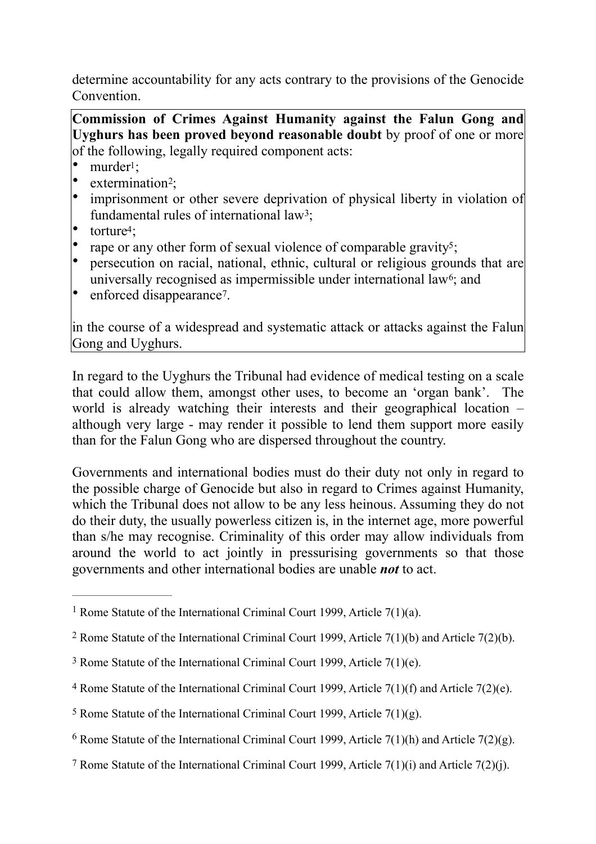determine accountability for any acts contrary to the provisions of the Genocide **Convention** 

**Commission of Crimes Against Humanity against the Falun Gong and Uyghurs has been proved beyond reasonable doubt** by proof of one or more of the following, legally required component acts:

- <span id="page-2-7"></span>• murder $\mid$ ;
- <span id="page-2-8"></span>•  $extremination<sup>2</sup>;$  $extremination<sup>2</sup>;$  $extremination<sup>2</sup>;$
- <span id="page-2-9"></span>• imprisonment or other severe deprivation of physical liberty in violation of fundamental rules of international law<sup>[3](#page-2-2)</sup>;
- <span id="page-2-10"></span>• torture<sup>4</sup>[;](#page-2-3)
- rape or any other form of sexual violence of comparable gravity<sup>[5](#page-2-4)</sup>;<br>• norseaution on rapid, national, others outhral or religious group
- <span id="page-2-12"></span><span id="page-2-11"></span>• persecution on racial, national, ethnic, cultural or religious grounds that are universally recognised as impermissible under international law $\epsilon$ ; and
- <span id="page-2-13"></span>• enforced disappearance<sup>[7](#page-2-6)</sup>.

in the course of a widespread and systematic attack or attacks against the Falun Gong and Uyghurs.

In regard to the Uyghurs the Tribunal had evidence of medical testing on a scale that could allow them, amongst other uses, to become an 'organ bank'. The world is already watching their interests and their geographical location – although very large - may render it possible to lend them support more easily than for the Falun Gong who are dispersed throughout the country.

Governments and international bodies must do their duty not only in regard to the possible charge of Genocide but also in regard to Crimes against Humanity, which the Tribunal does not allow to be any less heinous. Assuming they do not do their duty, the usually powerless citizen is, in the internet age, more powerful than s/he may recognise. Criminality of this order may allow individuals from around the world to act jointly in pressurising governments so that those governments and other international bodies are unable *not* to act.

<span id="page-2-0"></span><sup>&</sup>lt;sup>[1](#page-2-7)</sup> Rome Statute of the International Criminal Court 1999, Article 7(1)(a).

<span id="page-2-1"></span><sup>&</sup>lt;sup>[2](#page-2-8)</sup> Rome Statute of the International Criminal Court 1999, Article  $7(1)(b)$  and Article  $7(2)(b)$ .

<span id="page-2-2"></span> $3$  Rome Statute of the International Criminal Court 1999, Article 7(1)(e).

<span id="page-2-3"></span><sup>&</sup>lt;sup>[4](#page-2-10)</sup> Rome Statute of the International Criminal Court 1999, Article  $7(1)(f)$  and Article  $7(2)(e)$ .

<span id="page-2-4"></span><sup>&</sup>lt;sup>[5](#page-2-11)</sup> Rome Statute of the International Criminal Court 1999, Article 7(1)(g).

<span id="page-2-5"></span><sup>&</sup>lt;sup>[6](#page-2-12)</sup> Rome Statute of the International Criminal Court 1999, Article 7(1)(h) and Article 7(2)(g).

<span id="page-2-6"></span><sup>&</sup>lt;sup>[7](#page-2-13)</sup> Rome Statute of the International Criminal Court 1999, Article  $7(1)(i)$  and Article  $7(2)(i)$ .